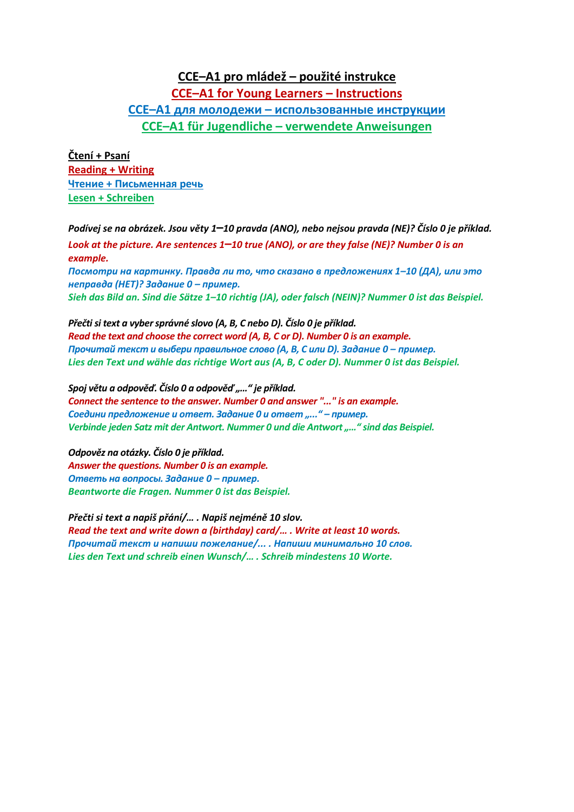## **CCE–A1 pro mládež – použité instrukce CCE–A1 for Young Learners – Instructions CCE–A1 для молодежи – использованные инструкции CCE–A1 für Jugendliche – verwendete Anweisungen**

**Čtení + Psaní Reading + Writing Чтение + Письменная речь Lesen + Schreiben**

*Podívej se na obrázek. Jsou věty 1***–***10 pravda (ANO), nebo nejsou pravda (NE)? Číslo 0 je příklad. Look at the picture. Are sentences 1***–***10 true (ANO), or are they false (NE)? Number 0 is an example. Посмотри на картинку. Правда ли то, что сказано в предложениях 1–10 (ДА), или это неправда (НЕТ)? Задание 0 – пример. Sieh das Bild an. Sind die Sätze 1–10 richtig (JA), oder falsch (NEIN)? Nummer 0 ist das Beispiel.*

*Přečti si text a vyber správné slovo (A, B, C nebo D). Číslo 0 je příklad. Read the text and choose the correct word (A, B, C or D). Number 0 is an example. Прочитай текст и выбери правильное слово (A, B, C или D). Задание 0 – пример. Lies den Text und wähle das richtige Wort aus (A, B, C oder D). Nummer 0 ist das Beispiel.*

*Spoj větu a odpověď. Číslo 0 a odpověď "…" je příklad. Connect the sentence to the answer. Number 0 and answer "..." is an example. Соедини предложение и ответ. Задание 0 и ответ "..." – пример. Verbinde jeden Satz mit der Antwort. Nummer 0 und die Antwort "…" sind das Beispiel.*

*Odpověz na otázky. Číslo 0 je příklad. Answer the questions. Number 0 is an example. Ответь на вопросы. Задание 0 – пример. Beantworte die Fragen. Nummer 0 ist das Beispiel.*

*Přečti si text a napiš přání/… . Napiš nejméně 10 slov. Read the text and write down a (birthday) card/… . Write at least 10 words. Прочитай текст и напиши пожелание/... . Напиши минимально 10 слов. Lies den Text und schreib einen Wunsch/… . Schreib mindestens 10 Worte.*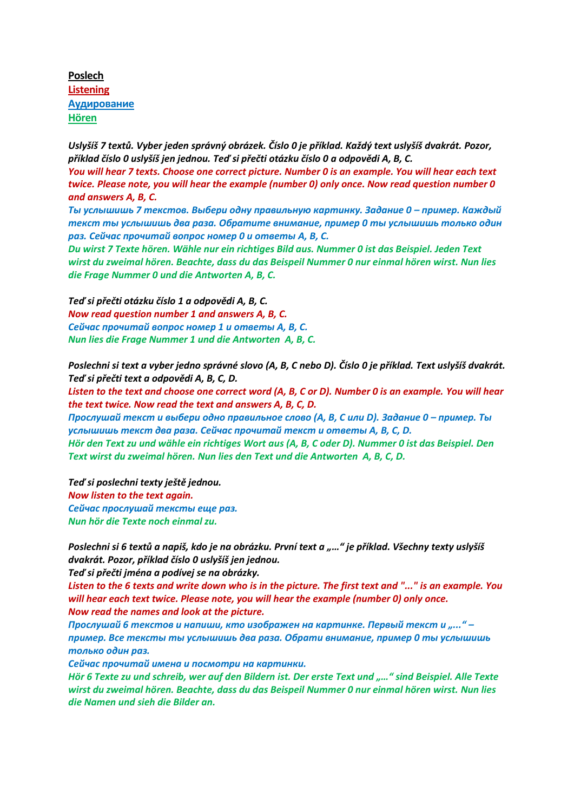**Poslech Listening Аудирование Hören**

*Uslyšíš 7 textů. Vyber jeden správný obrázek. Číslo 0 je příklad. Každý text uslyšíš dvakrát. Pozor, příklad číslo 0 uslyšíš jen jednou. Teď si přečti otázku číslo 0 a odpovědi A, B, C. You will hear 7 texts. Choose one correct picture. Number 0 is an example. You will hear each text twice. Please note, you will hear the example (number 0) only once. Now read question number 0 and answers A, B, C.*

*Ты услышишь 7 текстов. Выбери одну правильную картинку. Задание 0 – пример. Каждый текст ты услышишь два раза. Обратите внимание, пример 0 ты услышишь только один раз. Сейчас прочитай вопрос номер 0 и ответы A, B, C.*

*Du wirst 7 Texte hören. Wähle nur ein richtiges Bild aus. Nummer 0 ist das Beispiel. Jeden Text wirst du zweimal hören. Beachte, dass du das Beispeil Nummer 0 nur einmal hören wirst. Nun lies die Frage Nummer 0 und die Antworten A, B, C.*

*Teď si přečti otázku číslo 1 a odpovědi A, B, C. Now read question number 1 and answers A, B, C. Сейчас прочитай вопрос номер 1 и ответы A, B, C. Nun lies die Frage Nummer 1 und die Antworten A, B, C.*

*Poslechni si text a vyber jedno správné slovo (A, B, C nebo D). Číslo 0 je příklad. Text uslyšíš dvakrát. Teď si přečti text a odpovědi A, B, C, D.*

*Listen to the text and choose one correct word (A, B, C or D). Number 0 is an example. You will hear the text twice. Now read the text and answers A, B, C, D.*

*Прослушай текст и выбери одно правильное слово (A, B, C или D). Задание 0 – пример. Ты услышишь текст два раза. Сейчас прочитай текст и ответы A, B, C, D. Hör den Text zu und wähle ein richtiges Wort aus (A, B, C oder D). Nummer 0 ist das Beispiel. Den Text wirst du zweimal hören. Nun lies den Text und die Antworten A, B, C, D.*

*Teď si poslechni texty ještě jednou. Now listen to the text again. Сейчас прослушай тексты еще раз. Nun hör die Texte noch einmal zu.*

*Poslechni si 6 textů a napiš, kdo je na obrázku. První text a "…" je příklad. Všechny texty uslyšíš dvakrát. Pozor, příklad číslo 0 uslyšíš jen jednou.*

*Teď si přečti jména a podívej se na obrázky.*

*Listen to the 6 texts and write down who is in the picture. The first text and "..." is an example. You will hear each text twice. Please note, you will hear the example (number 0) only once. Now read the names and look at the picture.*

Прослушай 6 текстов и напиши, кто изображен на картинке. Первый текст и "..." *пример. Все тексты ты услышишь два раза. Обрати внимание, пример 0 ты услышишь только один раз.*

*Сейчас прочитай имена и посмотри на картинки.*

*Hör 6 Texte zu und schreib, wer auf den Bildern ist. Der erste Text und "…" sind Beispiel. Alle Texte wirst du zweimal hören. Beachte, dass du das Beispeil Nummer 0 nur einmal hören wirst. Nun lies die Namen und sieh die Bilder an.*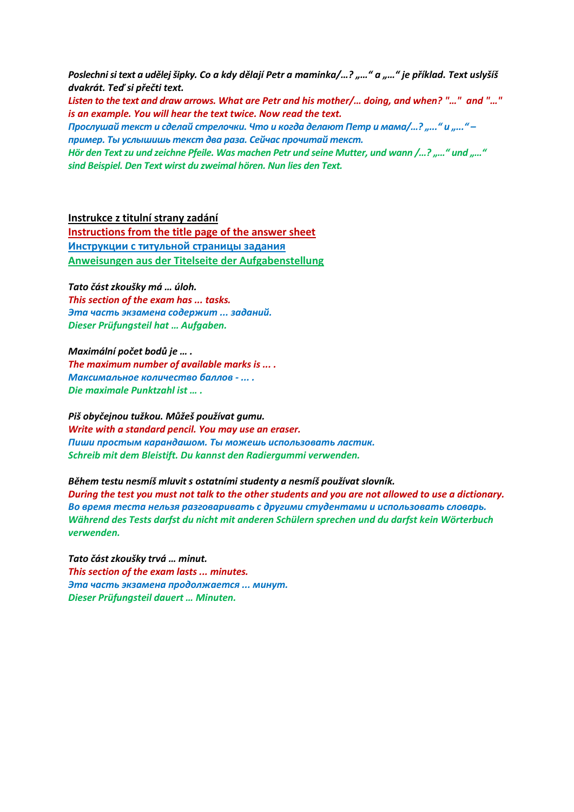*Poslechni si text a udělejšipky. Co a kdy dělají Petr a maminka/…? "…" a "…" je příklad. Text uslyšíš dvakrát. Teď si přečti text.*

*Listen to the text and draw arrows. What are Petr and his mother/… doing, and when? "…" and "…" is an example. You will hear the text twice. Now read the text.*

*Прослушай текст и сделай стрелочки. Что и когда делают Петр и мама/…? "..." и "..." – пример. Ты услышишь текст два раза. Сейчас прочитай текст.*

*Hör den Text zu und zeichne Pfeile. Was machen Petr und seine Mutter, und wann /…? "…" und "…" sind Beispiel. Den Text wirst du zweimal hören. Nun lies den Text.*

**Instrukce z titulní strany zadání**

**Instructions from the title page of the answer sheet Инструкции с титульной страницы задания Anweisungen aus der Titelseite der Aufgabenstellung**

*Tato část zkoušky má … úloh. This section of the exam has ... tasks. Эта часть экзамена содержит ... заданий. Dieser Prüfungsteil hat … Aufgaben.*

*Maximální počet bodů je … . The maximum number of available marks is ... . Максимальное количество баллов - ... . Die maximale Punktzahl ist … .*

*Piš obyčejnou tužkou. Můžeš používat gumu. Write with a standard pencil. You may use an eraser. Пиши простым карандашом. Ты можешь использовать ластик. Schreib mit dem Bleistift. Du kannst den Radiergummi verwenden.*

*Během testu nesmíš mluvit s ostatními studenty a nesmíš používat slovník.*

*During the test you must not talk to the other students and you are not allowed to use a dictionary. Во время теста нельзя разговаривать с другими студентами и использовать словарь. Während des Tests darfst du nicht mit anderen Schülern sprechen und du darfst kein Wörterbuch verwenden.*

*Tato část zkoušky trvá … minut. This section of the exam lasts ... minutes. Эта часть экзамена продолжается ... минут. Dieser Prüfungsteil dauert … Minuten.*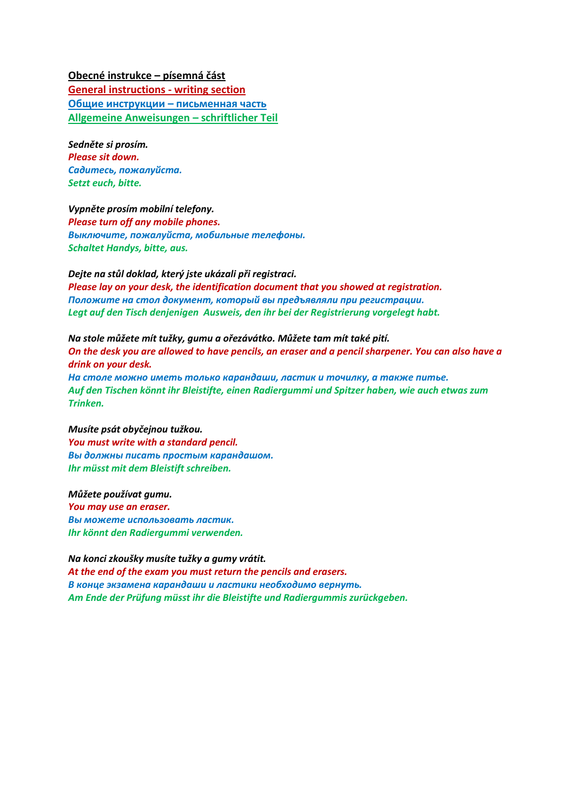**Obecné instrukce – písemná část**

**General instructions - writing section Общие инструкции – письменная часть Allgemeine Anweisungen – schriftlicher Teil**

*Sedněte si prosím. Please sit down. Садитесь, пожалуйста. Setzt euch, bitte.*

*Vypněte prosím mobilní telefony. Please turn off any mobile phones. Выключите, пожалуйста, мобильные телефоны. Schaltet Handys, bitte, aus.*

*Dejte na stůl doklad, který jste ukázali při registraci. Please lay on your desk, the identification document that you showed at registration. Положите на стол документ, который вы предъявляли при регистрации. Legt auf den Tisch denjenigen Ausweis, den ihr bei der Registrierung vorgelegt habt.*

*Na stole můžete mít tužky, gumu a ořezávátko. Můžete tam mít také pití. On the desk you are allowed to have pencils, an eraser and a pencil sharpener. You can also have a drink on your desk. На столе можно иметь только карандаши, ластик и точилку, а также питье.*

*Auf den Tischen könnt ihr Bleistifte, einen Radiergummi und Spitzer haben, wie auch etwas zum Trinken.*

*Musíte psát obyčejnou tužkou. You must write with a standard pencil. Вы должны писать простым карандашом. Ihr müsst mit dem Bleistift schreiben.*

*Můžete používat gumu. You may use an eraser. Вы можете использовать ластик. Ihr könnt den Radiergummi verwenden.*

*Na konci zkoušky musíte tužky a gumy vrátit. At the end of the exam you must return the pencils and erasers. В конце экзамена карандаши и ластики необходимо вернуть. Am Ende der Prüfung müsst ihr die Bleistifte und Radiergummis zurückgeben.*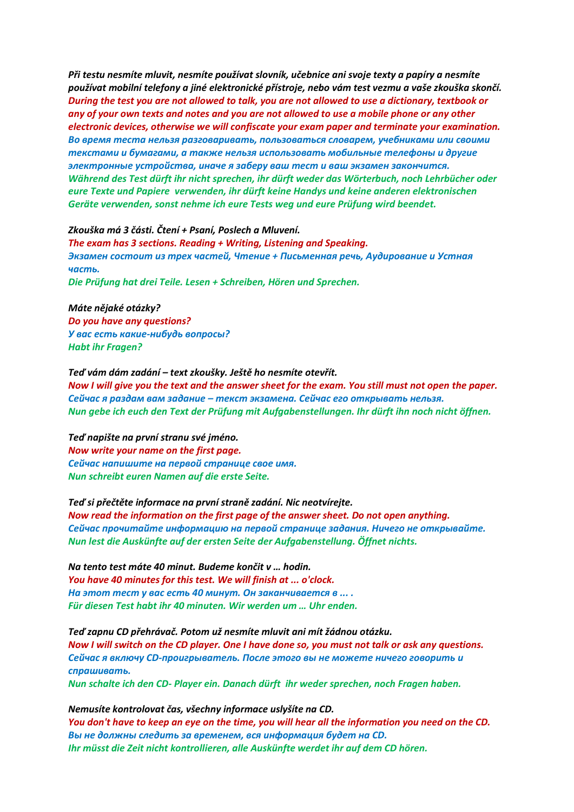*Při testu nesmíte mluvit, nesmíte používat slovník, učebnice ani svoje texty a papíry a nesmíte používat mobilní telefony a jiné elektronické přístroje, nebo vám test vezmu a vaše zkouška skončí. During the test you are not allowed to talk, you are not allowed to use a dictionary, textbook or any of your own texts and notes and you are not allowed to use a mobile phone or any other electronic devices, otherwise we will confiscate your exam paper and terminate your examination. Во время теста нельзя разговаривать, пользоваться словарем, учебниками или своими текстами и бумагами, а также нельзя использовать мобильные телефоны и другие электронные устройства, иначе я заберу ваш тест и ваш экзамен закончится. Während des Test dürft ihr nicht sprechen, ihr dürft weder das Wörterbuch, noch Lehrbücher oder eure Texte und Papiere verwenden, ihr dürft keine Handys und keine anderen elektronischen Geräte verwenden, sonst nehme ich eure Tests weg und eure Prüfung wird beendet.*

## *Zkouška má 3 části. Čtení + Psaní, Poslech a Mluvení.*

*The exam has 3 sections. Reading + Writing, Listening and Speaking. Экзамен состоит из трех частей, Чтение + Письменная речь, Аудирование и Устная часть. Die Prüfung hat drei Teile. Lesen + Schreiben, Hören und Sprechen.*

*Máte nějaké otázky? Do you have any questions? У вас есть какие-нибудь вопросы? Habt ihr Fragen?*

*Teď vám dám zadání – text zkoušky. Ještě ho nesmíte otevřít. Now I will give you the text and the answer sheet for the exam. You still must not open the paper. Сейчас я раздам вам задание – текст экзамена. Сейчас его открывать нельзя. Nun gebe ich euch den Text der Prüfung mit Aufgabenstellungen. Ihr dürft ihn noch nicht öffnen.*

*Teď napište na první stranu své jméno. Now write your name on the first page. Сейчас напишите на первой странице свое имя. Nun schreibt euren Namen auf die erste Seite.*

## *Teď si přečtěte informace na první straně zadání. Nic neotvírejte.*

*Now read the information on the first page of the answer sheet. Do not open anything. Сейчас прочитайте информацию на первой странице задания. Ничего не открывайте. Nun lest die Auskünfte auf der ersten Seite der Aufgabenstellung. Öffnet nichts.*

*Na tento test máte 40 minut. Budeme končit v … hodin. You have 40 minutes for this test. We will finish at ... o'clock. На этот тест у вас есть 40 минут. Он заканчивается в ... . Für diesen Test habt ihr 40 minuten. Wir werden um … Uhr enden.*

*Teď zapnu CD přehrávač. Potom už nesmíte mluvit ani mít žádnou otázku. Now I will switch on the CD player. One I have done so, you must not talk or ask any questions. Сейчас я включу CD-проигрыватель. После этого вы не можете ничего говорить и спрашивать. Nun schalte ich den CD- Player ein. Danach dürft ihr weder sprechen, noch Fragen haben.*

*Nemusíte kontrolovat čas, všechny informace uslyšíte na CD. You don't have to keep an eye on the time, you will hear all the information you need on the CD. Вы не должны следить за временем, вся информация будет на CD. Ihr müsst die Zeit nicht kontrollieren, alle Auskünfte werdet ihr auf dem CD hören.*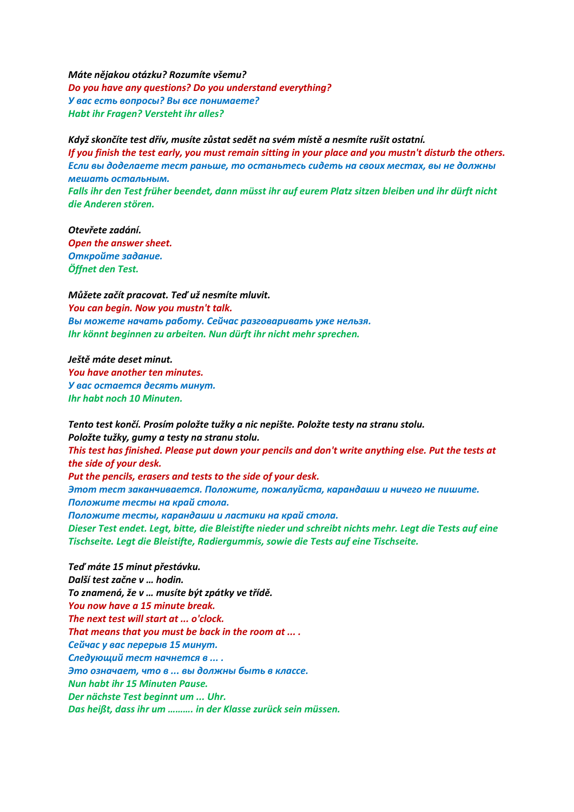*Máte nějakou otázku? Rozumíte všemu? Do you have any questions? Do you understand everything? У вас есть вопросы? Вы все понимаете? Habt ihr Fragen? Versteht ihr alles?*

*Když skončíte test dřív, musíte zůstat sedět na svém místě a nesmíte rušit ostatní. If you finish the test early, you must remain sitting in your place and you mustn't disturb the others. Если вы доделаете тест раньше, то останьтесь сидеть на своих местах, вы не должны мешать остальным. Falls ihr den Test früher beendet, dann müsst ihr auf eurem Platz sitzen bleiben und ihr dürft nicht die Anderen stören.*

*Otevřete zadání. Open the answer sheet. Откройте задание. Öffnet den Test.*

*Můžete začít pracovat. Teď už nesmíte mluvit. You can begin. Now you mustn't talk. Вы можете начать работу. Сейчас разговаривать уже нельзя. Ihr könnt beginnen zu arbeiten. Nun dürft ihr nicht mehr sprechen.*

*Ještě máte deset minut. You have another ten minutes. У вас остается десять минут. Ihr habt noch 10 Minuten.*

*Tento test končí. Prosím položte tužky a nic nepište. Položte testy na stranu stolu. Položte tužky, gumy a testy na stranu stolu. This test has finished. Please put down your pencils and don't write anything else. Put the tests at the side of your desk. Put the pencils, erasers and tests to the side of your desk. Этот тест заканчивается. Положите, пожалуйста, карандаши и ничего не пишите. Положите тесты на край стола. Положите тесты, карандаши и ластики на край стола. Dieser Test endet. Legt, bitte, die Bleistifte nieder und schreibt nichts mehr. Legt die Tests auf eine Tischseite. Legt die Bleistifte, Radiergummis, sowie die Tests auf eine Tischseite.*

*Teď máte 15 minut přestávku. Další test začne v … hodin. To znamená, že v … musíte být zpátky ve třídě. You now have a 15 minute break. The next test will start at ... o'clock. That means that you must be back in the room at ... . Сейчас у вас перерыв 15 минут. Следующий тест начнется в ... . Это означает, что в ... вы должны быть в классе. Nun habt ihr 15 Minuten Pause. Der nächste Test beginnt um ... Uhr. Das heißt, dass ihr um ………. in der Klasse zurück sein müssen.*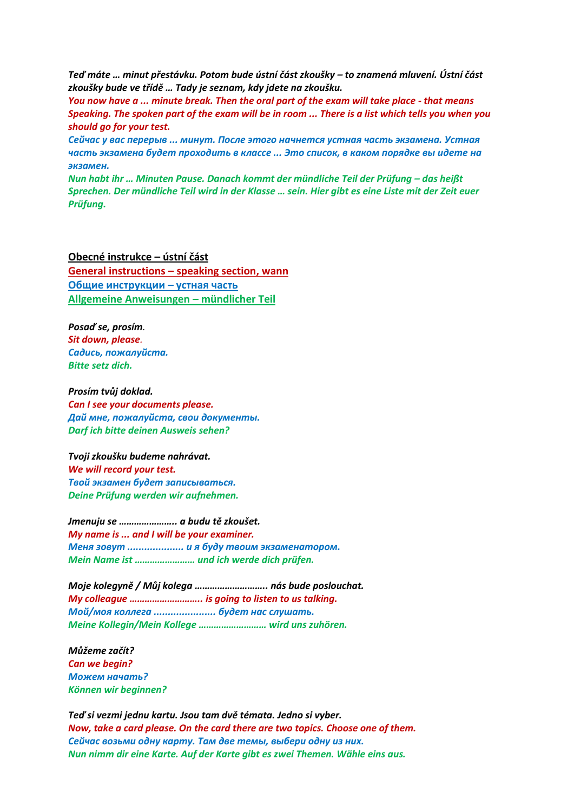*Teď máte … minut přestávku. Potom bude ústní část zkoušky – to znamená mluvení. Ústní část zkoušky bude ve třídě … Tady je seznam, kdy jdete na zkoušku.*

*You now have a ... minute break. Then the oral part of the exam will take place - that means Speaking. The spoken part of the exam will be in room ... There is a list which tells you when you should go for your test.*

*Сейчас у вас перерыв ... минут. После этого начнется устная часть экзамена. Устная часть экзамена будет проходить в классе ... Это список, в каком порядке вы идете на экзамен.*

*Nun habt ihr … Minuten Pause. Danach kommt der mündliche Teil der Prüfung – das heißt Sprechen. Der mündliche Teil wird in der Klasse … sein. Hier gibt es eine Liste mit der Zeit euer Prüfung.*

**Obecné instrukce – ústní část General instructions – speaking section, wann Общие инструкции – устная часть Allgemeine Anweisungen – mündlicher Teil**

*Posaď se, prosím. Sit down, please. Садись, пожалуйста. Bitte setz dich.*

*Prosím tvůj doklad. Can I see your documents please. Дай мне, пожалуйста, свои документы. Darf ich bitte deinen Ausweis sehen?*

*Tvoji zkoušku budeme nahrávat. We will record your test. Твой экзамен будет записываться. Deine Prüfung werden wir aufnehmen.*

*Jmenuju se ………………….. a budu tě zkoušet. My name is ... and I will be your examiner. Меня зовут .................... и я буду твоим экзаменатором. Mein Name ist …………………… und ich werde dich prüfen.*

*Moje kolegyně / Můj kolega ……………………….. nás bude poslouchat. My colleague ……………………….. is going to listen to us talking. Мой/моя коллега ...................... будет нас слушать. Meine Kollegin/Mein Kollege ……………………… wird uns zuhören.* 

*Můžeme začít? Can we begin? Можем начать? Können wir beginnen?*

*Teď si vezmi jednu kartu. Jsou tam dvě témata. Jedno si vyber. Now, take a card please. On the card there are two topics. Choose one of them. Сейчас возьми одну карту. Там две темы, выбери одну из них. Nun nimm dir eine Karte. Auf der Karte gibt es zwei Themen. Wähle eins aus.*